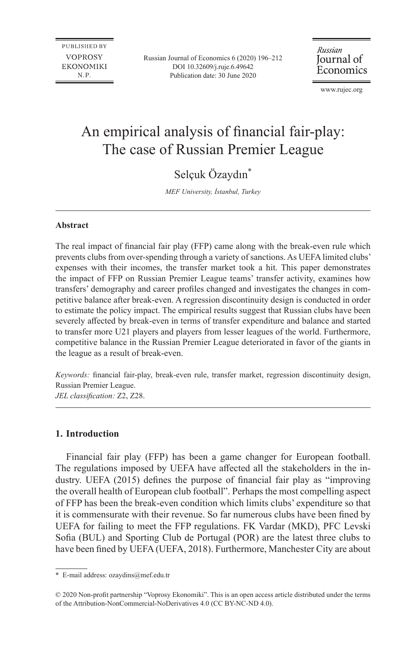**PUBLISHED BY VOPROSY EKONOMIKI** N.P.

Russian Journal of Economics 6 (2020) 196–212 DOI 10.32609/j.ruje.6.49642 Publication date: 30 June 2020

Russian Journal of Economics

www.rujec.org

# An empirical analysis of financial fair-play: The case of Russian Premier League

# Selçuk Özaydın\*

*MEF University, İstanbul, Turkey*

# **Abstract**

The real impact of financial fair play (FFP) came along with the break-even rule which prevents clubs from over-spending through a variety of sanctions. As UEFA limited clubs' expenses with their incomes, the transfer market took a hit. This paper demonstrates the impact of FFP on Russian Premier League teams' transfer activity, examines how transfers' demography and career profiles changed and investigates the changes in competitive balance after break-even. A regression discontinuity design is conducted in order to estimate the policy impact. The empirical results suggest that Russian clubs have been severely affected by break-even in terms of transfer expenditure and balance and started to transfer more U21 players and players from lesser leagues of the world. Furthermore, competitive balance in the Russian Premier League deteriorated in favor of the giants in the league as a result of break-even.

*Keywords:* financial fair-play, break-even rule, transfer market, regression discontinuity design, Russian Premier League.

*JEL classification:* Z2, Z28.

# **1. Introduction**

Financial fair play (FFP) has been a game changer for European football. The regulations imposed by UEFA have affected all the stakeholders in the industry. UEFA (2015) defines the purpose of financial fair play as "improving the overall health of European club football". Perhaps the most compelling aspect of FFP has been the break-even condition which limits clubs' expenditure so that it is commensurate with their revenue. So far numerous clubs have been fined by UEFA for failing to meet the FFP regulations. FK Vardar (MKD), PFC Levski Sofia (BUL) and Sporting Club de Portugal (POR) are the latest three clubs to have been fined by UEFA (UEFA, 2018). Furthermore, Manchester City are about

<sup>\*</sup> E-mail address: [ozaydins@mef.edu.tr](mailto:ozaydins@mef.edu.tr)

<sup>© 2020</sup> Non-profit partnership "Voprosy Ekonomiki". This is an open access article distributed under the terms of the [Attribution-NonCommercial-NoDerivatives 4.0 \(CC BY-NC-ND 4.0\)](http://creativecommons.org/licenses/by-nc-nd/4.0/).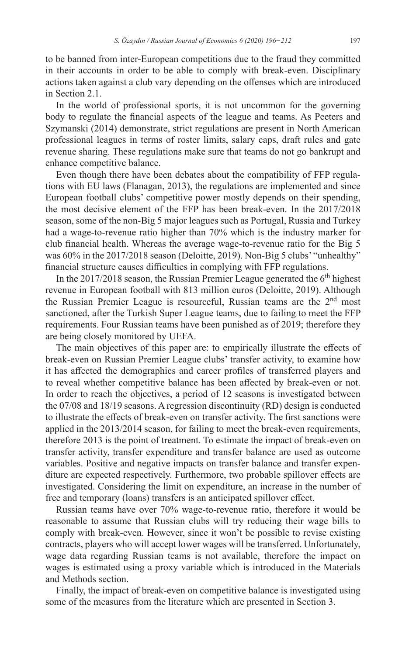to be banned from inter-European competitions due to the fraud they committed in their accounts in order to be able to comply with break-even. Disciplinary actions taken against a club vary depending on the offenses which are introduced in Section 2.1.

In the world of professional sports, it is not uncommon for the governing body to regulate the financial aspects of the league and teams. As Peeters and Szymanski (2014) demonstrate, strict regulations are present in North American professional leagues in terms of roster limits, salary caps, draft rules and gate revenue sharing. These regulations make sure that teams do not go bankrupt and enhance competitive balance.

Even though there have been debates about the compatibility of FFP regulations with EU laws (Flanagan, 2013), the regulations are implemented and since European football clubs' competitive power mostly depends on their spending, the most decisive element of the FFP has been break-even. In the 2017/2018 season, some of the non-Big 5 major leagues such as Portugal, Russia and Turkey had a wage-to-revenue ratio higher than 70% which is the industry marker for club financial health. Whereas the average wage-to-revenue ratio for the Big 5 was 60% in the 2017/2018 season (Deloitte, 2019). Non-Big 5 clubs' "unhealthy" financial structure causes difficulties in complying with FFP regulations.

In the  $2017/2018$  season, the Russian Premier League generated the  $6<sup>th</sup>$  highest revenue in European football with 813 million euros (Deloitte, 2019). Although the Russian Premier League is resourceful, Russian teams are the 2<sup>nd</sup> most sanctioned, after the Turkish Super League teams, due to failing to meet the FFP requirements. Four Russian teams have been punished as of 2019; therefore they are being closely monitored by UEFA.

The main objectives of this paper are: to empirically illustrate the effects of break-even on Russian Premier League clubs' transfer activity, to examine how it has affected the demographics and career profiles of transferred players and to reveal whether competitive balance has been affected by break-even or not. In order to reach the objectives, a period of 12 seasons is investigated between the 07/08 and 18/19 seasons. A regression discontinuity (RD) design is conducted to illustrate the effects of break-even on transfer activity. The first sanctions were applied in the 2013/2014 season, for failing to meet the break-even requirements, therefore 2013 is the point of treatment. To estimate the impact of break-even on transfer activity, transfer expenditure and transfer balance are used as outcome variables. Positive and negative impacts on transfer balance and transfer expenditure are expected respectively. Furthermore, two probable spillover effects are investigated. Considering the limit on expenditure, an increase in the number of free and temporary (loans) transfers is an anticipated spillover effect.

Russian teams have over 70% wage-to-revenue ratio, therefore it would be reasonable to assume that Russian clubs will try reducing their wage bills to comply with break-even. However, since it won't be possible to revise existing contracts, players who will accept lower wages will be transferred. Unfortunately, wage data regarding Russian teams is not available, therefore the impact on wages is estimated using a proxy variable which is introduced in the Materials and Methods section.

Finally, the impact of break-even on competitive balance is investigated using some of the measures from the literature which are presented in Section 3.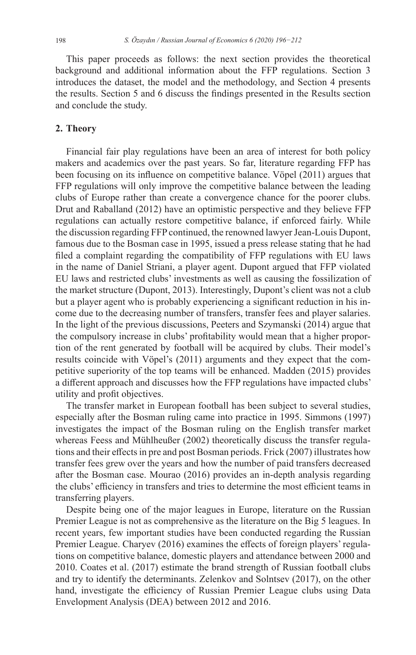This paper proceeds as follows: the next section provides the theoretical background and additional information about the FFP regulations. Section 3 introduces the dataset, the model and the methodology, and Section 4 presents the results. Section 5 and 6 discuss the findings presented in the Results section and conclude the study.

# **2. Theory**

Financial fair play regulations have been an area of interest for both policy makers and academics over the past years. So far, literature regarding FFP has been focusing on its influence on competitive balance. Vöpel (2011) argues that FFP regulations will only improve the competitive balance between the leading clubs of Europe rather than create a convergence chance for the poorer clubs. Drut and Raballand (2012) have an optimistic perspective and they believe FFP regulations can actually restore competitive balance, if enforced fairly. While the discussion regarding FFP continued, the renowned lawyer Jean-Louis Dupont, famous due to the Bosman case in 1995, issued a press release stating that he had filed a complaint regarding the compatibility of FFP regulations with EU laws in the name of Daniel Striani, a player agent. Dupont argued that FFP violated EU laws and restricted clubs' investments as well as causing the fossilization of the market structure (Dupont, 2013). Interestingly, Dupont's client was not a club but a player agent who is probably experiencing a significant reduction in his income due to the decreasing number of transfers, transfer fees and player salaries. In the light of the previous discussions, Peeters and Szymanski (2014) argue that the compulsory increase in clubs' profitability would mean that a higher proportion of the rent generated by football will be acquired by clubs. Their model's results coincide with Vöpel's (2011) arguments and they expect that the competitive superiority of the top teams will be enhanced. Madden (2015) provides a different approach and discusses how the FFP regulations have impacted clubs' utility and profit objectives.

The transfer market in European football has been subject to several studies, especially after the Bosman ruling came into practice in 1995. Simmons (1997) investigates the impact of the Bosman ruling on the English transfer market whereas Feess and Mühlheußer (2002) theoretically discuss the transfer regulations and their effects in pre and post Bosman periods. Frick (2007) illustrates how transfer fees grew over the years and how the number of paid transfers decreased after the Bosman case. Mourao (2016) provides an in-depth analysis regarding the clubs' efficiency in transfers and tries to determine the most efficient teams in transferring players.

Despite being one of the major leagues in Europe, literature on the Russian Premier League is not as comprehensive as the literature on the Big 5 leagues. In recent years, few important studies have been conducted regarding the Russian Premier League. Charyev (2016) examines the effects of foreign players' regulations on competitive balance, domestic players and attendance between 2000 and 2010. Coates et al. (2017) estimate the brand strength of Russian football clubs and try to identify the determinants. Zelenkov and Solntsev (2017), on the other hand, investigate the efficiency of Russian Premier League clubs using Data Envelopment Analysis (DEA) between 2012 and 2016.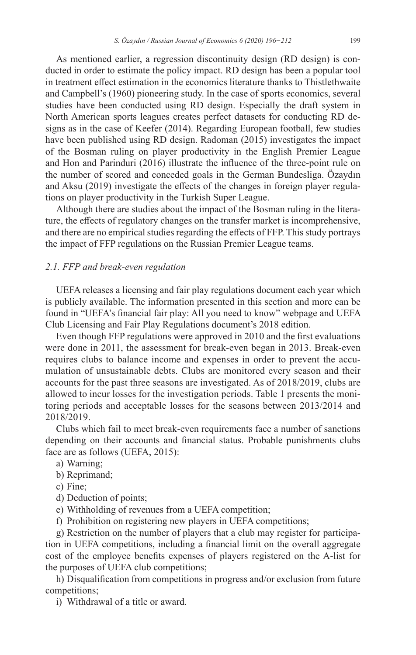As mentioned earlier, a regression discontinuity design (RD design) is conducted in order to estimate the policy impact. RD design has been a popular tool in treatment effect estimation in the economics literature thanks to Thistlethwaite and Campbell's (1960) pioneering study. In the case of sports economics, several studies have been conducted using RD design. Especially the draft system in North American sports leagues creates perfect datasets for conducting RD designs as in the case of Keefer (2014). Regarding European football, few studies have been published using RD design. Radoman (2015) investigates the impact of the Bosman ruling on player productivity in the English Premier League and Hon and Parinduri (2016) illustrate the influence of the three-point rule on the number of scored and conceded goals in the German Bundesliga. Özaydın and Aksu (2019) investigate the effects of the changes in foreign player regulations on player productivity in the Turkish Super League.

Although there are studies about the impact of the Bosman ruling in the literature, the effects of regulatory changes on the transfer market is incomprehensive, and there are no empirical studies regarding the effects of FFP. This study portrays the impact of FFP regulations on the Russian Premier League teams.

# *2.1. FFP and break-even regulation*

UEFA releases a licensing and fair play regulations document each year which is publicly available. The information presented in this section and more can be found in "UEFA's financial fair play: All you need to know" webpage and UEFA Club Licensing and Fair Play Regulations document's 2018 edition.

Even though FFP regulations were approved in 2010 and the first evaluations were done in 2011, the assessment for break-even began in 2013. Break-even requires clubs to balance income and expenses in order to prevent the accumulation of unsustainable debts. Clubs are monitored every season and their accounts for the past three seasons are investigated. As of 2018/2019, clubs are allowed to incur losses for the investigation periods. Table 1 presents the monitoring periods and acceptable losses for the seasons between 2013/2014 and 2018/2019.

Clubs which fail to meet break-even requirements face a number of sanctions depending on their accounts and financial status. Probable punishments clubs face are as follows (UEFA, 2015):

- a) Warning;
- b) Reprimand;
- c) Fine;
- d) Deduction of points;
- e) Withholding of revenues from a UEFA competition;
- f) Prohibition on registering new players in UEFA competitions;

g) Restriction on the number of players that a club may register for participation in UEFA competitions, including a financial limit on the overall aggregate cost of the employee benefits expenses of players registered on the A-list for the purposes of UEFA club competitions;

h) Disqualification from competitions in progress and/or exclusion from future competitions;

i) Withdrawal of a title or award.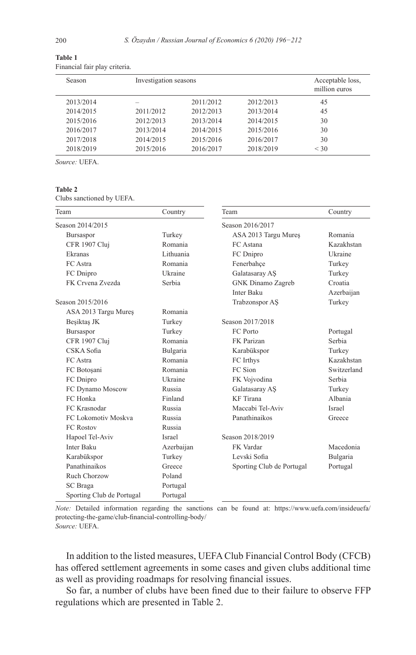| Season    | Investigation seasons |           |           | Acceptable loss,<br>million euros |
|-----------|-----------------------|-----------|-----------|-----------------------------------|
| 2013/2014 |                       | 2011/2012 | 2012/2013 | 45                                |
| 2014/2015 | 2011/2012             | 2012/2013 | 2013/2014 | 45                                |
| 2015/2016 | 2012/2013             | 2013/2014 | 2014/2015 | 30                                |
| 2016/2017 | 2013/2014             | 2014/2015 | 2015/2016 | 30                                |
| 2017/2018 | 2014/2015             | 2015/2016 | 2016/2017 | 30                                |
| 2018/2019 | 2015/2016             | 2016/2017 | 2018/2019 | $<$ 30                            |

**Table 1** Financial fair play criteria.

*Source:* UEFA.

#### **Table 2**

Clubs sanctioned by UEFA.

| Team                      | Country       | Team                      | Country       |
|---------------------------|---------------|---------------------------|---------------|
| Season 2014/2015          |               | Season 2016/2017          |               |
| Bursaspor                 | Turkey        | ASA 2013 Targu Mureș      | Romania       |
| CFR 1907 Cluj             | Romania       | FC Astana                 | Kazakhstan    |
| Ekranas                   | Lithuania     | FC Dnipro                 | Ukraine       |
| FC Astra                  | Romania       | Fenerbahçe                | Turkey        |
| FC Dnipro                 | Ukraine       | Galatasaray AS            | Turkey        |
| FK Crvena Zvezda          | Serbia        | GNK Dinamo Zagreb         | Croatia       |
|                           |               | Inter Baku                | Azerbaijan    |
| Season 2015/2016          |               | Trabzonspor AS            | Turkey        |
| ASA 2013 Targu Mureș      | Romania       |                           |               |
| Beşiktaş JK               | Turkey        | Season 2017/2018          |               |
| Bursaspor                 | Turkey        | FC Porto                  | Portugal      |
| CFR 1907 Cluj             | Romania       | FK Parizan                | Serbia        |
| CSKA Sofia                | Bulgaria      | Karabükspor               | Turkey        |
| FC Astra                  | Romania       | FC Irthys                 | Kazakhstan    |
| FC Botoșani               | Romania       | FC Sion                   | Switzerland   |
| FC Dnipro                 | Ukraine       | FK Vojvodina              | Serbia        |
| FC Dynamo Moscow          | Russia        | Galatasaray AS            | Turkey        |
| FC Honka                  | Finland       | KF Tirana                 | Albania       |
| FC Krasnodar              | Russia        | Maccabi Tel-Aviv          | <b>Israel</b> |
| FC Lokomotiv Moskva       | Russia        | Panathinaikos             | Greece        |
| <b>FC Rostov</b>          | Russia        |                           |               |
| Hapoel Tel-Aviv           | <b>Israel</b> | Season 2018/2019          |               |
| <b>Inter Baku</b>         | Azerbaijan    | FK Vardar                 | Macedonia     |
| Karabükspor               | Turkey        | Levski Sofia              | Bulgaria      |
| Panathinaikos             | Greece        | Sporting Club de Portugal | Portugal      |
| Ruch Chorzow              | Poland        |                           |               |
| SC Braga                  | Portugal      |                           |               |
| Sporting Club de Portugal | Portugal      |                           |               |

*Note:* Detailed information regarding the sanctions can be found at: [https://www.uefa.com/insideuefa/](https://www.uefa.com/insideuefa/protecting-the-game/club-financial-controlling-body/) [protecting-the-game/club-financial-controlling-body/](https://www.uefa.com/insideuefa/protecting-the-game/club-financial-controlling-body/) *Source:* UEFA.

In addition to the listed measures, UEFA Club Financial Control Body (CFCB) has offered settlement agreements in some cases and given clubs additional time as well as providing roadmaps for resolving financial issues.

So far, a number of clubs have been fined due to their failure to observe FFP regulations which are presented in Table 2.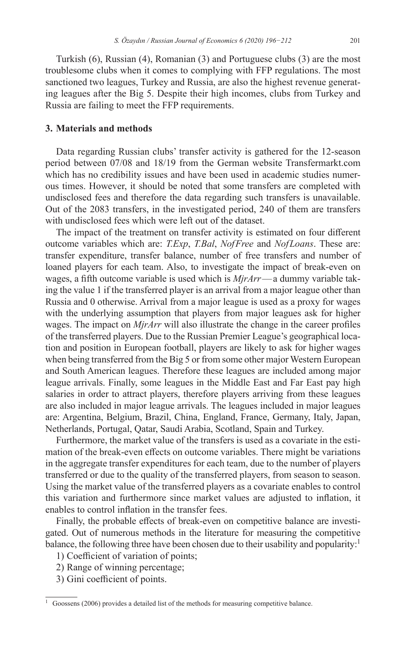Turkish (6), Russian (4), Romanian (3) and Portuguese clubs (3) are the most troublesome clubs when it comes to complying with FFP regulations. The most sanctioned two leagues, Turkey and Russia, are also the highest revenue generating leagues after the Big 5. Despite their high incomes, clubs from Turkey and Russia are failing to meet the FFP requirements.

# **3. Materials and methods**

Data regarding Russian clubs' transfer activity is gathered for the 12-season period between 07/08 and 18/19 from the German website Transfermarkt.com which has no credibility issues and have been used in academic studies numerous times. However, it should be noted that some transfers are completed with undisclosed fees and therefore the data regarding such transfers is unavailable. Out of the 2083 transfers, in the investigated period, 240 of them are transfers with undisclosed fees which were left out of the dataset.

The impact of the treatment on transfer activity is estimated on four different outcome variables which are: *T.Exp*, *T.Bal*, *NofFree* and *NofLoans*. These are: transfer expenditure, transfer balance, number of free transfers and number of loaned players for each team. Also, to investigate the impact of break-even on wages, a fifth outcome variable is used which is *MjrArr*—a dummy variable taking the value 1 if the transferred player is an arrival from a major league other than Russia and 0 otherwise. Arrival from a major league is used as a proxy for wages with the underlying assumption that players from major leagues ask for higher wages. The impact on *MjrArr* will also illustrate the change in the career profiles of the transferred players. Due to the Russian Premier League's geographical location and position in European football, players are likely to ask for higher wages when being transferred from the Big 5 or from some other major Western European and South American leagues. Therefore these leagues are included among major league arrivals. Finally, some leagues in the Middle East and Far East pay high salaries in order to attract players, therefore players arriving from these leagues are also included in major league arrivals. The leagues included in major leagues are: Argentina, Belgium, Brazil, China, England, France, Germany, Italy, Japan, Netherlands, Portugal, Qatar, Saudi Arabia, Scotland, Spain and Turkey.

Furthermore, the market value of the transfers is used as a covariate in the estimation of the break-even effects on outcome variables. There might be variations in the aggregate transfer expenditures for each team, due to the number of players transferred or due to the quality of the transferred players, from season to season. Using the market value of the transferred players as a covariate enables to control this variation and furthermore since market values are adjusted to inflation, it enables to control inflation in the transfer fees.

Finally, the probable effects of break-even on competitive balance are investigated. Out of numerous methods in the literature for measuring the competitive balance, the following three have been chosen due to their usability and popularity:<sup>1</sup>

- 1) Coefficient of variation of points;
- 2) Range of winning percentage;
- 3) Gini coefficient of points.

 $1$  Goossens (2006) provides a detailed list of the methods for measuring competitive balance.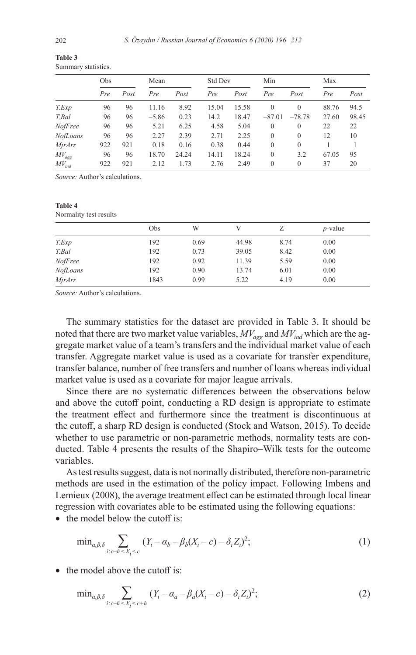|            | <b>Obs</b> |      | Mean    |       | Std Dev |       | Min            |          | Max   |       |
|------------|------------|------|---------|-------|---------|-------|----------------|----------|-------|-------|
|            | Pre        | Post | Pre     | Post  | Pre     | Post  | Pre            | Post     | Pre   | Post  |
| T.Exp      | 96         | 96   | 11.16   | 8.92  | 15.04   | 15.58 | $\overline{0}$ | $\Omega$ | 88.76 | 94.5  |
| T.Bal      | 96         | 96   | $-5.86$ | 0.23  | 14.2    | 18.47 | $-87.01$       | $-78.78$ | 27.60 | 98.45 |
| NofFree    | 96         | 96   | 5.21    | 6.25  | 4.58    | 5.04  | $\overline{0}$ | $\theta$ | 22    | 22    |
| NofLoans   | 96         | 96   | 2.27    | 2.39  | 2.71    | 2.25  | $\Omega$       | $\Omega$ | 12    | 10    |
| MirArr     | 922        | 921  | 0.18    | 0.16  | 0.38    | 0.44  | $\theta$       | $\theta$ |       |       |
| $MV_{agg}$ | 96         | 96   | 18.70   | 24.24 | 14.11   | 18.24 | $\theta$       | 3.2      | 67.05 | 95    |
| $MV_{ind}$ | 922        | 921  | 2.12    | 1.73  | 2.76    | 2.49  | $\theta$       | $\theta$ | 37    | 20    |

**Table 3** Summary statistics.

*Source:* Author's calculations.

# **Table 4**

Normality test results

|          | Obs  | W    |       |      | $p$ -value |
|----------|------|------|-------|------|------------|
| T.Exp    | 192  | 0.69 | 44.98 | 8.74 | 0.00       |
| T.Bal    | 192  | 0.73 | 39.05 | 8.42 | 0.00       |
| NofFree  | 192  | 0.92 | 11.39 | 5.59 | 0.00       |
| NofLoans | 192  | 0.90 | 13.74 | 6.01 | 0.00       |
| MjrArr   | 1843 | 0.99 | 5.22  | 4.19 | 0.00       |

*Source:* Author's calculations.

The summary statistics for the dataset are provided in Table 3. It should be noted that there are two market value variables,  $MV_{agg}$  and  $MV_{ind}$  which are the aggregate market value of a team's transfers and the individual market value of each transfer. Aggregate market value is used as a covariate for transfer expenditure, transfer balance, number of free transfers and number of loans whereas individual market value is used as a covariate for major league arrivals.

Since there are no systematic differences between the observations below and above the cutoff point, conducting a RD design is appropriate to estimate the treatment effect and furthermore since the treatment is discontinuous at the cutoff, a sharp RD design is conducted (Stock and Watson, 2015). To decide whether to use parametric or non-parametric methods, normality tests are conducted. Table 4 presents the results of the Shapiro–Wilk tests for the outcome variables.

As test results suggest, data is not normally distributed, therefore non-parametric methods are used in the estimation of the policy impact. Following Imbens and Lemieux (2008), the average treatment effect can be estimated through local linear regression with covariates able to be estimated using the following equations:

• the model below the cutoff is:

$$
\min_{a,\beta,\delta} \sum_{i:c-h\le X_i\le c} (Y_i - \alpha_b - \beta_b(X_i - c) - \delta_i Z_i)^2; \tag{1}
$$

• the model above the cutoff is:

$$
\min_{a,\beta,\delta} \sum_{i:c-h \le X_i < c+h} (Y_i - \alpha_a - \beta_a (X_i - c) - \delta_i Z_i)^2; \tag{2}
$$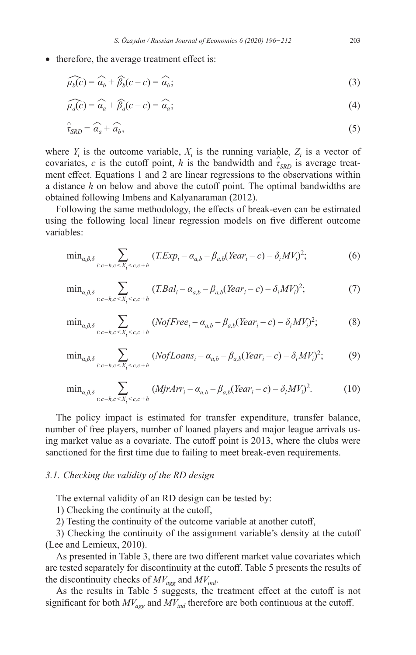• therefore, the average treatment effect is:  
\n
$$
\widehat{\mu_b(c)} = \widehat{\alpha_b} + \widehat{\beta_b}(c - c) = \widehat{\alpha_b};
$$
\n(3)

$$
\mu_b(c) = \alpha_b + \beta_b(c - c) = \alpha_b;
$$
\n
$$
\widehat{\mu_a(c)} = \widehat{\alpha_a} + \widehat{\beta_a}(c - c) = \widehat{\alpha_a};
$$
\n(3)

$$
\hat{\tau}_{SRD} = \hat{\alpha}_a + \hat{\alpha}_b,\tag{5}
$$

where  $Y_i$  is the outcome variable,  $X_i$  is the running variable,  $Z_i$  is a vector of covariates, *c* is the cutoff point, *h* is the bandwidth and  $\hat{\tau}_{SRD}$  is average treatment effect. Equations 1 and 2 are linear regressions to the observations within a distance *h* on below and above the cutoff point. The optimal bandwidths are obtained following Imbens and Kalyanaraman (2012).

Following the same methodology, the effects of break-even can be estimated using the following local linear regression models on five different outcome variables:

$$
\min_{a,\beta,\delta} \sum_{i:c-h,c \le X_i \le c,c+h} (T. Exp_i - a_{a,b} - \beta_{a,b} (Year_i - c) - \delta_i MV_i)^2; \tag{6}
$$

$$
\min_{a,\beta,\delta} \sum_{i:c-h,c \le X_i \le c,c+h} (T. Bal_i - a_{a,b} - \beta_{a,b} (Year_i - c) - \delta_i MV_i)^2; \tag{7}
$$

$$
\min_{a,\beta,\delta} \sum_{i:c-h,c \le X_i < c,c+h} \left( NofFree_i - a_{a,b} - \beta_{a,b} (Year_i - c) - \delta_i MV_i \right)^2; \tag{8}
$$

$$
\min_{a,\beta,\delta} \sum_{i:c-h,c \le X_i < c,c+h} \left( NofLoans_i - \alpha_{a,b} - \beta_{a,b} (Year_i - c) - \delta_i MV_i \right)^2; \tag{9}
$$

$$
\min_{a,\beta,\delta} \sum_{i:c-h,c \le X_i < c,c+h} (MjrArr_i - \alpha_{a,b} - \beta_{a,b}(Year_i - c) - \delta_i MV_i)^2. \tag{10}
$$

The policy impact is estimated for transfer expenditure, transfer balance, number of free players, number of loaned players and major league arrivals using market value as a covariate. The cutoff point is 2013, where the clubs were sanctioned for the first time due to failing to meet break-even requirements.

## *3.1. Checking the validity of the RD design*

The external validity of an RD design can be tested by:

1) Checking the continuity at the cutoff,

2) Testing the continuity of the outcome variable at another cutoff,

3) Checking the continuity of the assignment variable's density at the cutoff (Lee and Lemieux, 2010).

As presented in Table 3, there are two different market value covariates which are tested separately for discontinuity at the cutoff. Table 5 presents the results of the discontinuity checks of  $MV_{\text{age}}$  and  $MV_{\text{ind}}$ .

As the results in Table 5 suggests, the treatment effect at the cutoff is not significant for both  $MV_{agg}$  and  $MV_{ind}$  therefore are both continuous at the cutoff.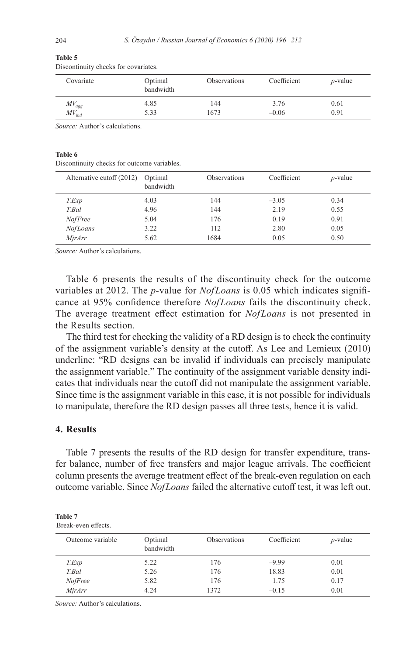| Covariate  | Optimal<br>bandwidth | Observations | Coefficient | $p$ -value |
|------------|----------------------|--------------|-------------|------------|
| $MV_{agg}$ | 4.85                 | 144          | 3.76        | 0.61       |
| $MV_{ind}$ | 5.33                 | 1673         | $-0.06$     | 0.91       |

#### **Table 5**

Discontinuity checks for covariates.

*Source:* Author's calculations.

#### **Table 6**

Discontinuity checks for outcome variables.

| Alternative cutoff (2012) | Optimal<br>bandwidth | <b>Observations</b> | Coefficient | $p$ -value |
|---------------------------|----------------------|---------------------|-------------|------------|
| T.Exp                     | 4.03                 | 144                 | $-3.05$     | 0.34       |
| T.Bal                     | 4.96                 | 144                 | 2.19        | 0.55       |
| <i>NofFree</i>            | 5.04                 | 176                 | 0.19        | 0.91       |
| NofLoans                  | 3.22                 | 112                 | 2.80        | 0.05       |
| MjrArr                    | 5.62                 | 1684                | 0.05        | 0.50       |

*Source:* Author's calculations.

Table 6 presents the results of the discontinuity check for the outcome variables at 2012. The *p-*value for *NofLoans* is 0.05 which indicates significance at 95% confidence therefore *NofLoans* fails the discontinuity check. The average treatment effect estimation for *NofLoans* is not presented in the Results section.

The third test for checking the validity of a RD design is to check the continuity of the assignment variable's density at the cutoff. As Lee and Lemieux (2010) underline: "RD designs can be invalid if individuals can precisely manipulate the assignment variable." The continuity of the assignment variable density indicates that individuals near the cutoff did not manipulate the assignment variable. Since time is the assignment variable in this case, it is not possible for individuals to manipulate, therefore the RD design passes all three tests, hence it is valid.

# **4. Results**

Table 7 presents the results of the RD design for transfer expenditure, transfer balance, number of free transfers and major league arrivals. The coefficient column presents the average treatment effect of the break-even regulation on each outcome variable. Since *NofLoans* failed the alternative cutoff test, it was left out.

| Table 7             |  |
|---------------------|--|
| Break-even effects. |  |

| Outcome variable | Optimal<br>bandwidth | <b>Observations</b> | Coefficient | $p$ -value |
|------------------|----------------------|---------------------|-------------|------------|
| T.Exp            | 5.22                 | 176                 | $-9.99$     | 0.01       |
| T.Bal            | 5.26                 | 176                 | 18.83       | 0.01       |
| NofFree          | 5.82                 | 176                 | 1.75        | 0.17       |
| MjrArr           | 4.24                 | 1372                | $-0.15$     | 0.01       |

*Source:* Author's calculations.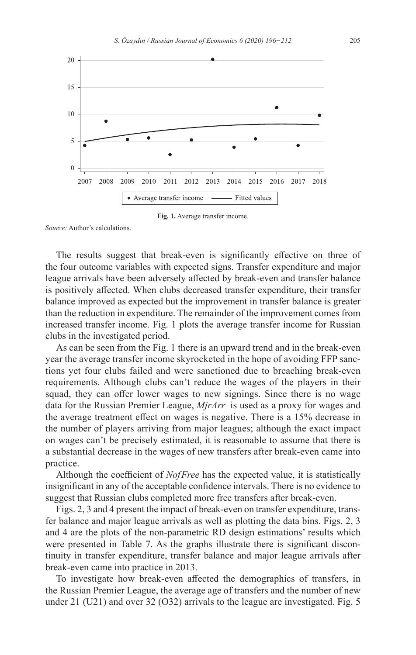

**Fig. 1.** Average transfer income.

*Source:* Author's calculations.

The results suggest that break-even is significantly effective on three of the four outcome variables with expected signs. Transfer expenditure and major league arrivals have been adversely affected by break-even and transfer balance is positively affected. When clubs decreased transfer expenditure, their transfer balance improved as expected but the improvement in transfer balance is greater than the reduction in expenditure. The remainder of the improvement comes from increased transfer income. Fig. 1 plots the average transfer income for Russian clubs in the investigated period.

As can be seen from the Fig. 1 there is an upward trend and in the break-even year the average transfer income skyrocketed in the hope of avoiding FFP sanctions yet four clubs failed and were sanctioned due to breaching break-even requirements. Although clubs can't reduce the wages of the players in their squad, they can offer lower wages to new signings. Since there is no wage data for the Russian Premier League, *MjrArr* is used as a proxy for wages and the average treatment effect on wages is negative. There is a 15% decrease in the number of players arriving from major leagues; although the exact impact on wages can't be precisely estimated, it is reasonable to assume that there is a substantial decrease in the wages of new transfers after break-even came into practice.

Although the coefficient of *NofFree* has the expected value, it is statistically insignificant in any of the acceptable confidence intervals. There is no evidence to suggest that Russian clubs completed more free transfers after break-even.

Figs. 2, 3 and 4 present the impact of break-even on transfer expenditure, transfer balance and major league arrivals as well as plotting the data bins. Figs. 2, 3 and 4 are the plots of the non-parametric RD design estimations' results which were presented in Table 7. As the graphs illustrate there is significant discontinuity in transfer expenditure, transfer balance and major league arrivals after break-even came into practice in 2013.

To investigate how break-even affected the demographics of transfers, in the Russian Premier League, the average age of transfers and the number of new under 21 (U21) and over 32 (O32) arrivals to the league are investigated. Fig. 5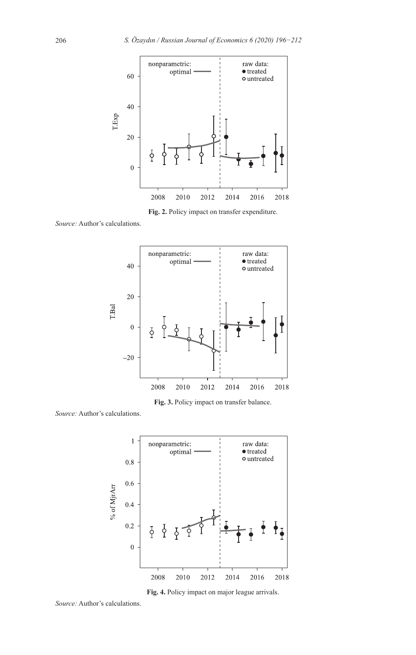

**Fig. 2.** Policy impact on transfer expenditure.

*Source:* Author's calculations.



**Fig. 3.** Policy impact on transfer balance.

*Source:* Author's calculations.



**Fig. 4.** Policy impact on major league arrivals.

*Source:* Author's calculations.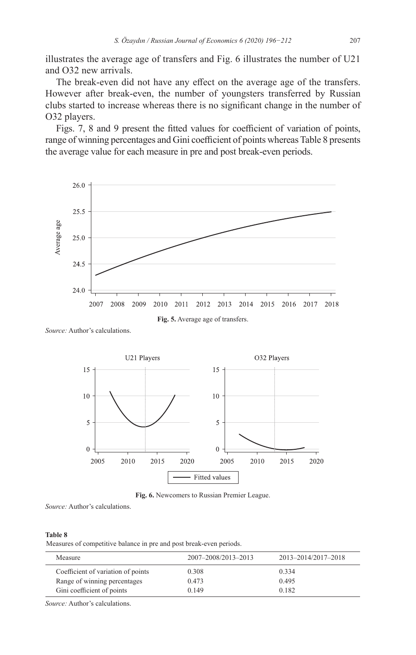illustrates the average age of transfers and Fig. 6 illustrates the number of U21 and O32 new arrivals.

The break-even did not have any effect on the average age of the transfers. However after break-even, the number of youngsters transferred by Russian clubs started to increase whereas there is no significant change in the number of O32 players.

Figs. 7, 8 and 9 present the fitted values for coefficient of variation of points, range of winning percentages and Gini coefficient of points whereas Table 8 presents the average value for each measure in pre and post break-even periods.



*Source:* Author's calculations.



**Fig. 6.** Newcomers to Russian Premier League.

*Source:* Author's calculations.

#### **Table 8**

Measures of competitive balance in pre and post break-even periods.

| Measure                            | 2007-2008/2013-2013 | 2013-2014/2017-2018 |
|------------------------------------|---------------------|---------------------|
| Coefficient of variation of points | 0.308               | 0.334               |
| Range of winning percentages       | 0.473               | 0.495               |
| Gini coefficient of points         | 0.149               | 0.182               |

*Source:* Author's calculations.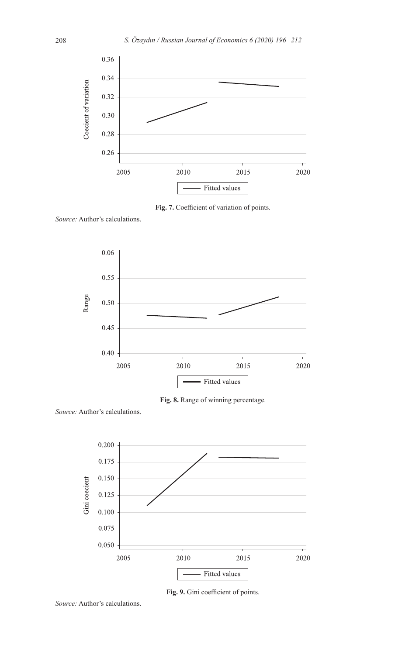

**Fig. 7.** Coefficient of variation of points.

*Source:* Author's calculations.



**Fig. 8.** Range of winning percentage.

*Source:* Author's calculations.



**Fig. 9.** Gini coefficient of points.

*Source:* Author's calculations.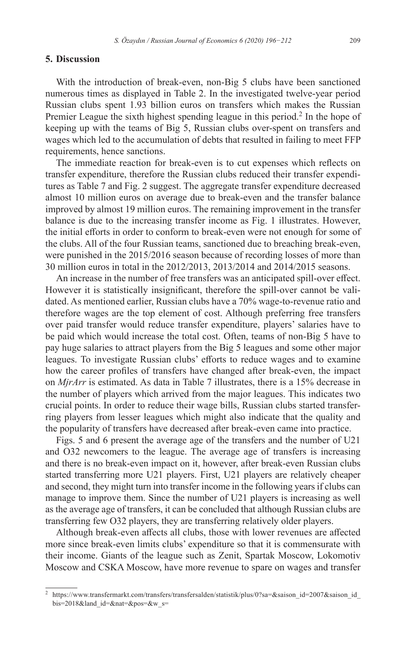# **5. Discussion**

With the introduction of break-even, non-Big 5 clubs have been sanctioned numerous times as displayed in Table 2. In the investigated twelve-year period Russian clubs spent 1.93 billion euros on transfers which makes the Russian Premier League the sixth highest spending league in this period.<sup>2</sup> In the hope of keeping up with the teams of Big 5, Russian clubs over-spent on transfers and wages which led to the accumulation of debts that resulted in failing to meet FFP requirements, hence sanctions.

The immediate reaction for break-even is to cut expenses which reflects on transfer expenditure, therefore the Russian clubs reduced their transfer expenditures as Table 7 and Fig. 2 suggest. The aggregate transfer expenditure decreased almost 10 million euros on average due to break-even and the transfer balance improved by almost 19 million euros. The remaining improvement in the transfer balance is due to the increasing transfer income as Fig. 1 illustrates. However, the initial efforts in order to conform to break-even were not enough for some of the clubs. All of the four Russian teams, sanctioned due to breaching break-even, were punished in the 2015/2016 season because of recording losses of more than 30 million euros in total in the 2012/2013, 2013/2014 and 2014/2015 seasons.

An increase in the number of free transfers was an anticipated spill-over effect. However it is statistically insignificant, therefore the spill-over cannot be validated. As mentioned earlier, Russian clubs have a 70% wage-to-revenue ratio and therefore wages are the top element of cost. Although preferring free transfers over paid transfer would reduce transfer expenditure, players' salaries have to be paid which would increase the total cost. Often, teams of non-Big 5 have to pay huge salaries to attract players from the Big 5 leagues and some other major leagues. To investigate Russian clubs' efforts to reduce wages and to examine how the career profiles of transfers have changed after break-even, the impact on *MjrArr* is estimated. As data in Table 7 illustrates, there is a 15% decrease in the number of players which arrived from the major leagues. This indicates two crucial points. In order to reduce their wage bills, Russian clubs started transferring players from lesser leagues which might also indicate that the quality and the popularity of transfers have decreased after break-even came into practice.

Figs. 5 and 6 present the average age of the transfers and the number of U21 and O32 newcomers to the league. The average age of transfers is increasing and there is no break-even impact on it, however, after break-even Russian clubs started transferring more U21 players. First, U21 players are relatively cheaper and second, they might turn into transfer income in the following years if clubs can manage to improve them. Since the number of U21 players is increasing as well as the average age of transfers, it can be concluded that although Russian clubs are transferring few O32 players, they are transferring relatively older players.

Although break-even affects all clubs, those with lower revenues are affected more since break-even limits clubs' expenditure so that it is commensurate with their income. Giants of the league such as Zenit, Spartak Moscow, Lokomotiv Moscow and CSKA Moscow, have more revenue to spare on wages and transfer

<sup>2</sup> [https://www.transfermarkt.com/transfers/transfersalden/statistik/plus/0?sa=&saison\\_id=2007&saison\\_id\\_](https://www.transfermarkt.com/transfers/transfersalden/statistik/plus/0?sa=&saison_id=2007&saison_id_bis=2018&land_id=&nat=&pos=&w_s=) [bis=2018&land\\_id=&nat=&pos=&w\\_s=](https://www.transfermarkt.com/transfers/transfersalden/statistik/plus/0?sa=&saison_id=2007&saison_id_bis=2018&land_id=&nat=&pos=&w_s=)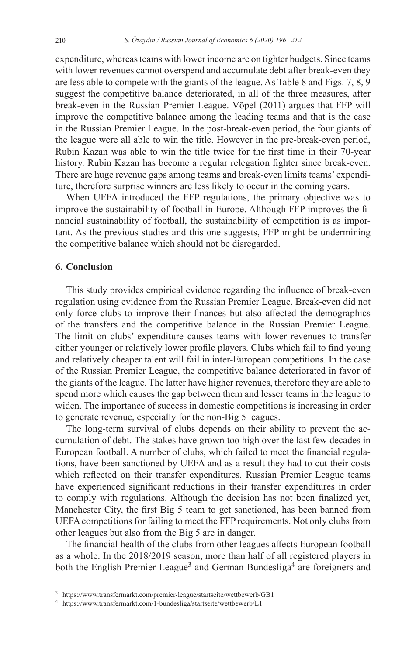expenditure, whereas teams with lower income are on tighter budgets. Since teams with lower revenues cannot overspend and accumulate debt after break-even they are less able to compete with the giants of the league. As Table 8 and Figs. 7, 8, 9 suggest the competitive balance deteriorated, in all of the three measures, after break-even in the Russian Premier League. Vöpel (2011) argues that FFP will improve the competitive balance among the leading teams and that is the case in the Russian Premier League. In the post-break-even period, the four giants of the league were all able to win the title. However in the pre-break-even period, Rubin Kazan was able to win the title twice for the first time in their 70-year history. Rubin Kazan has become a regular relegation fighter since break-even. There are huge revenue gaps among teams and break-even limits teams' expenditure, therefore surprise winners are less likely to occur in the coming years.

When UEFA introduced the FFP regulations, the primary objective was to improve the sustainability of football in Europe. Although FFP improves the financial sustainability of football, the sustainability of competition is as important. As the previous studies and this one suggests, FFP might be undermining the competitive balance which should not be disregarded.

# **6. Conclusion**

This study provides empirical evidence regarding the influence of break-even regulation using evidence from the Russian Premier League. Break-even did not only force clubs to improve their finances but also affected the demographics of the transfers and the competitive balance in the Russian Premier League. The limit on clubs' expenditure causes teams with lower revenues to transfer either younger or relatively lower profile players. Clubs which fail to find young and relatively cheaper talent will fail in inter-European competitions. In the case of the Russian Premier League, the competitive balance deteriorated in favor of the giants of the league. The latter have higher revenues, therefore they are able to spend more which causes the gap between them and lesser teams in the league to widen. The importance of success in domestic competitions is increasing in order to generate revenue, especially for the non-Big 5 leagues.

The long-term survival of clubs depends on their ability to prevent the accumulation of debt. The stakes have grown too high over the last few decades in European football. A number of clubs, which failed to meet the financial regulations, have been sanctioned by UEFA and as a result they had to cut their costs which reflected on their transfer expenditures. Russian Premier League teams have experienced significant reductions in their transfer expenditures in order to comply with regulations. Although the decision has not been finalized yet, Manchester City, the first Big 5 team to get sanctioned, has been banned from UEFA competitions for failing to meet the FFP requirements. Not only clubs from other leagues but also from the Big 5 are in danger.

The financial health of the clubs from other leagues affects European football as a whole. In the 2018/2019 season, more than half of all registered players in both the English Premier League<sup>3</sup> and German Bundesliga<sup>4</sup> are foreigners and

<sup>3</sup> <https://www.transfermarkt.com/premier-league/startseite/wettbewerb/GB1>

<sup>4</sup> <https://www.transfermarkt.com/1-bundesliga/startseite/wettbewerb/L1>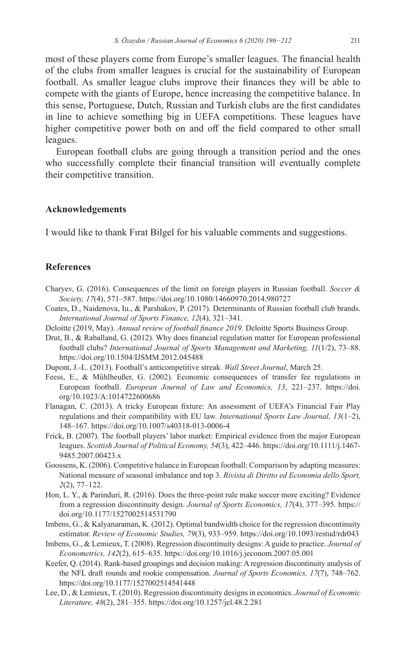most of these players come from Europe's smaller leagues. The financial health of the clubs from smaller leagues is crucial for the sustainability of European football. As smaller league clubs improve their finances they will be able to compete with the giants of Europe, hence increasing the competitive balance. In this sense, Portuguese, Dutch, Russian and Turkish clubs are the first candidates in line to achieve something big in UEFA competitions. These leagues have higher competitive power both on and off the field compared to other small leagues.

European football clubs are going through a transition period and the ones who successfully complete their financial transition will eventually complete their competitive transition.

## **Acknowledgements**

I would like to thank Fırat Bilgel for his valuable comments and suggestions.

# **References**

- Charyev, G. (2016). Consequences of the limit on foreign players in Russian football. *Soccer & Society, 17*(4), 571–587. <https://doi.org/10.1080/14660970.2014.980727>
- Coates, D., Naidenova, Iu., & Parshakov, P. (2017). Determinants of Russian football club brands. *International Journal of Sports Finance, 12*(4), 321–341.
- Deloitte (2019, May). *Annual review of football finance 2019.* Deloitte Sports Business Group.
- Drut, B., & Raballand, G. (2012). Why does financial regulation matter for European professional football clubs? *International Journal of Sports Management and Marketing, 11*(1/2), 73–88. <https://doi.org/10.1504/IJSMM.2012.045488>
- Dupont, J.-L. (2013). Football's anticompetitive streak. *Wall Street Journal*, March 25.
- Feess, E., & Mühlheußer, G. (2002). Economic consequences of transfer fee regulations in European football. *European Journal of Law and Economics, 13*, 221–237. [https://doi.](https://doi.org/10.1023/A:1014722600686) [org/10.1023/A:1014722600686](https://doi.org/10.1023/A:1014722600686)
- Flanagan, C. (2013). A tricky European fixture: An assessment of UEFA's Financial Fair Play regulations and their compatibility with EU law. *International Sports Law Journal, 13*(1–2), 148–167. <https://doi.org/10.1007/s40318-013-0006-4>
- Frick, B. (2007). The football players' labor market: Empirical evidence from the major European leagues. *Scottish Journal of Political Economy, 54*(3), 422–446. [https://doi.org/10.1111/j.1467-](https://doi.org/10.1111/j.1467-9485.2007.00423.x) [9485.2007.00423.x](https://doi.org/10.1111/j.1467-9485.2007.00423.x)
- Goossens, K. (2006). Competitive balance in European football: Comparison by adapting measures: National measure of seasonal imbalance and top 3. *Rivista di Diritto ed Economia dello Sport, 2*(2), 77–122.
- Hon, L. Y., & Parinduri, R. (2016). Does the three-point rule make soccer more exciting? Evidence from a regression discontinuity design. *Journal of Sports Economics, 17*(4), 377–395. [https://](https://doi.org/10.1177/1527002514531790) [doi.org/10.1177/1527002514531790](https://doi.org/10.1177/1527002514531790)
- Imbens, G., & Kalyanaraman, K. (2012). Optimal bandwidth choice for the regression discontinuity estimator. *Review of Economic Studies, 79*(3), 933–959. <https://doi.org/10.1093/restud/rdr043>
- Imbens, G., & Lemieux, T. (2008). Regression discontinuity designs: A guide to practice. *Journal of Econometrics, 142*(2), 615–635.<https://doi.org/10.1016/j.jeconom.2007.05.001>
- Keefer, Q. (2014). Rank-based groupings and decision making: A regression discontinuity analysis of the NFL draft rounds and rookie compensation. *Journal of Sports Economics, 17*(7), 748–762. <https://doi.org/10.1177/1527002514541448>
- Lee, D., & Lemieux, T. (2010). Regression discontinuity designs in economics. *Journal of Economic Literature, 48*(2), 281–355.<https://doi.org/10.1257/jel.48.2.281>